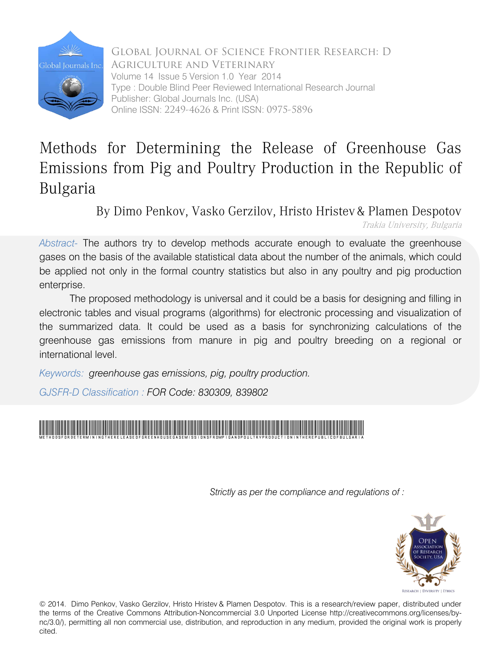

Global Journal of Science Frontier Research: D Agriculture and Veterinary Volume 14 Issue 5 Version 1.0 Year 2014 Type : Double Blind Peer Reviewed International Research Journal Publisher: Global Journals Inc. (USA) Online ISSN: 2249-4626 & Print ISSN: 0975-5896

## Methods for Determining the Release of Greenhouse Gas Emissions from Pig and Poultry Production in the Republic of Bulgaria

By Dimo Penkov, Vasko Gerzilov, Hristo Hristev & Plamen Despotov Trakia University, Bulgaria

*Abstract-* The authors try to develop methods accurate enough to evaluate the greenhouse gases on the basis of the available statistical data about the number of the animals, which could be applied not only in the formal country statistics but also in any poultry and pig production enterprise.

The proposed methodology is universal and it could be a basis for designing and filling in electronic tables and visual programs (algorithms) for electronic processing and visualization of the summarized data. It could be used as a basis for synchronizing calculations of the greenhouse gas emissions from manure in pig and poultry breeding on a regional or international level.

*Keywords: greenhouse gas emissions, pig, poultry production.* 

*GJSFR-D Classification : FOR Code: 830309, 839802*



*Strictly as per the compliance and regulations of :*



© 2014. Dimo Penkov, Vasko Gerzilov, Hristo Hristev & Plamen Despotov. This is a research/review paper, distributed under the terms of the Creative Commons Attribution-Noncommercial 3.0 Unported License http://creativecommons.org/licenses/bync/3.0/), permitting all non commercial use, distribution, and reproduction in any medium, provided the original work is properly cited.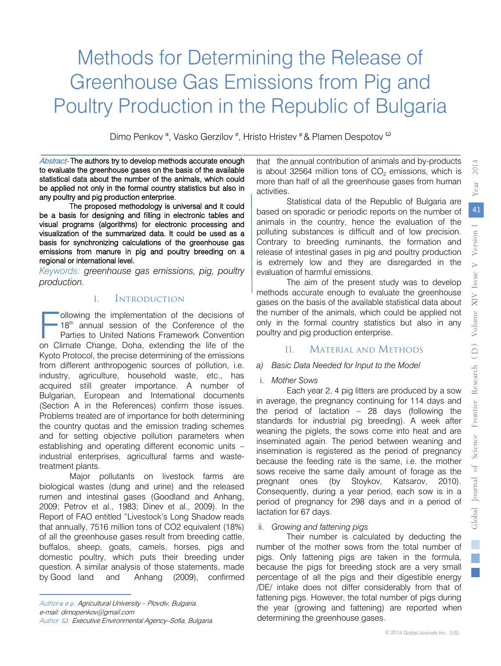## Methods for Determining the Release of Greenhouse Gas Emissions from Pig and Poultry Production in the Republic of Bulgaria

Dimo Penkov <sup>α</sup>, Vasko Gerzilov <sup>σ</sup>, Hristo Hristev <sup>ρ</sup> & Plamen Despotov <sup>ω</sup>

Abstract- The authors try to develop methods accurate enough to evaluate the greenhouse gases on the basis of the available statistical data about the number of the animals, which could be applied not only in the formal country statistics but also in any poultry and pig production enterprise.

The proposed methodology is universal and it could be a basis for designing and filling in electronic tables and visual programs (algorithms) for electronic processing and visualization of the summarized data. It could be used as a basis for synchronizing calculations of the greenhouse gas emissions from manure in pig and poultry breeding on a regional or international level.

*Keywords: greenhouse gas emissions, pig, poultry production.* 

### I. Introduction

ollowing the implementation of the decisions of 18<sup>th</sup> annual session of the Conference of the Parties to United Nations Framework Convention ollowing the implementation of the decisions of 18<sup>th</sup> annual session of the Conference of the Parties to United Nations Framework Convention on Climate Change, Doha, extending the life of the Kyoto Protocol, the precise determining of the emissions from different anthropogenic sources of pollution, i.e. industry, agriculture, household waste, etc., has acquired still greater importance. A number of Bulgarian, European and International documents (Section A in the References) confirm those issues. Problems treated are of importance for both determining the country quotas and the emission trading schemes and for setting objective pollution parameters when establishing and operating different economic units – industrial enterprises, agricultural farms and wastetreatment plants.

Major pollutants on livestock farms are biological wastes (dung and urine) and the released rumen and intestinal gases (Goodland and Anhang, 2009; Petrov et al., 1983; Dinev et al., 2009). In the Report of FAO entitled "Livestock's Long Shadow reads that annually, 7516 million tons of CO2 equivalent (18%) of all the greenhouse gases result from breeding cattle, buffalos, sheep, goats, camels, horses, pigs and domestic poultry, which puts their breeding under question. A similar analysis of those statements, made by Good land and Anhang (2009), confirmed

Author *α σ ρ*: Agricultural University – Plovdiv, Bulgaria. e-mail: dimopenkov@gmail.com Author *Ѡ*: Executive Environmental Agency–Sofia, Bulgaria. that the annual contribution of animals and by-products is about 32564 million tons of  $CO<sub>2</sub>$  emissions, which is more than half of all the greenhouse gases from human activities.

Statistical data of the Republic of Bulgaria are based on sporadic or periodic reports on the number of animals in the country, hence the evaluation of the polluting substances is difficult and of low precision. Contrary to breeding ruminants, the formation and release of intestinal gases in pig and poultry production is extremely low and they are disregarded in the evaluation of harmful emissions.

The aim of the present study was to develop methods accurate enough to evaluate the greenhouse gases on the basis of the available statistical data about the number of the animals, which could be applied not only in the formal country statistics but also in any poultry and pig production enterprise.

### II. Material and Methods

### *a) Basic Data Needed for Input to the Model*

### i. *Mother Sows*

Each year 2, 4 pig litters are produced by a sow in average, the pregnancy continuing for 114 days and the period of lactation – 28 days (following the standards for industrial pig breeding). A week after weaning the piglets, the sows come into heat and are inseminated again. The period between weaning and insemination is registered as the period of pregnancy because the feeding rate is the same, i.e. the mother sows receive the same daily amount of forage as the pregnant ones (by Stoykov, Katsarov, 2010). Consequently, during a year period, each sow is in a period of pregnancy for 298 days and in a period of lactation for 67 days.

### ii. *Growing and fattening pigs*

Their number is calculated by deducting the number of the mother sows from the total number of pigs. Only fattening pigs are taken in the formula, because the pigs for breeding stock are a very small percentage of all the pigs and their digestible energy /DE/ intake does not differ considerably from that of fattening pigs. However, the total number of pigs during the year (growing and fattening) are reported when determining the greenhouse gases.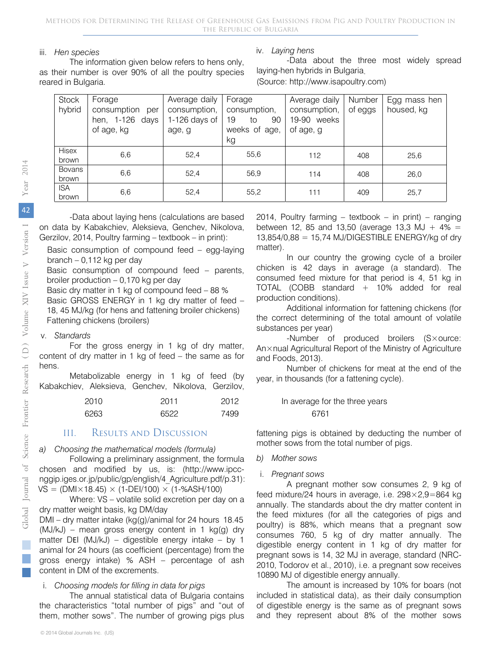### iii. *Hen species*

The information given below refers to hens only, as their number is over 90% of all the poultry species reared in Bulgaria.

### iv. *Laying hens*

-Data about the three most widely spread laying-hen hybrids in Bulgaria.

(Source: http://www.isapoultry.com)

| <b>Stock</b>        | Forage             | Average daily | Forage         | Average daily | Number  | Egg mass hen |
|---------------------|--------------------|---------------|----------------|---------------|---------|--------------|
| hybrid              | consumption<br>per | consumption,  | consumption,   | consumption,  | of eggs | housed, kg   |
|                     | hen, 1-126<br>days | 1-126 days of | 90<br>19<br>to | 19-90 weeks   |         |              |
|                     | of age, kg         | age, g        | weeks of age,  | of age, g     |         |              |
|                     |                    |               | kg             |               |         |              |
| Hisex               | 6,6                | 52.4          | 55,6           | 112           | 408     | 25,6         |
| brown               |                    |               |                |               |         |              |
| <b>Bovans</b>       | 6,6                | 52.4          | 56.9           | 114           | 408     | 26,0         |
| brown               |                    |               |                |               |         |              |
| <b>ISA</b><br>brown | 6,6                | 52,4          | 55,2           | 111           | 409     | 25,7         |

-Data about laying hens (calculations are based on data by Kabakchiev, Aleksieva, Genchev, Nikolova, Gerzilov, 2014, Poultry farming – textbook – in print):

- Basic consumption of compound feed egg-laying branch – 0,112 kg per day
- Basic consumption of compound feed parents, broiler production – 0,170 kg per day
- Basic dry matter in 1 kg of compound feed 88 %

Basic GROSS ENERGY in 1 kg dry matter of feed – 18, 45 MJ/kg (for hens and fattening broiler chickens) Fattening chickens (broilers)

### v. *Standards*

For the gross energy in 1 kg of dry matter, content of dry matter in 1 kg of feed – the same as for hens.

Metabolizable energy in 1 kg of feed (by Kabakchiev, Aleksieva, Genchev, Nikolova, Gerzilov,

| 2010 | 2011 | 2012 | In average fo |
|------|------|------|---------------|
| 6263 | 6522 | 7499 | 6761          |

### III. Results and Discussion

*a) Choosing the mathematical models (formula)*

Following a preliminary assignment, the formula chosen and modified by us, is: (http://www.ipccnggip.iges.or.jp/public/gp/english/4\_Agriculture.pdf/p.31):  $VS = (DMI \times 18.45) \times (1-DEI/100) \times (1-SASH/100)$ 

Where: VS – volatile solid excretion per day on a dry matter weight basis, kg DM/day

DMI – dry matter intake (kg(g)/animal for 24 hours 18.45  $(MJ/KJ)$  – mean gross energy content in 1 kg(g) dry matter DEI (MJ/kJ) – digestible energy intake – by 1 animal for 24 hours (as coefficient (percentage) from the gross energy intake) % ASH – percentage of ash content in DM of the excrements.

### i. *Choosing models for filling in data for pigs*

The annual statistical data of Bulgaria contains the characteristics "total number of pigs" and "out of them, mother sows". The number of growing pigs plus 2014, Poultry farming – textbook – in print) – ranging between 12, 85 and 13,50 (average 13,3 MJ +  $4\%$  = 13,854/0,88 = 15,74 MJ/DIGESTIBLE ENERGY/kg of dry matter).

In our country the growing cycle of a broiler chicken is 42 days in average (a standard). The consumed feed mixture for that period is 4, 51 kg in TOTAL (COBB standard + 10% added for real production conditions).

Additional information for fattening chickens (for the correct determining of the total amount of volatile substances per year)

-Number of produced broilers (S×ource: An×nual Agricultural Report of the Ministry of Agriculture and Foods, 2013).

Number of chickens for meat at the end of the year, in thousands (for a fattening cycle).

### In average for the three years

fattening pigs is obtained by deducting the number of mother sows from the total number of pigs.

*b) Mother sows*

### i. *Pregnant sows*

A pregnant mother sow consumes 2, 9 kg of feed mixture/24 hours in average, i.e. 298×2,9=864 kg annually. The standards about the dry matter content in the feed mixtures (for all the categories of pigs and poultry) is 88%, which means that a pregnant sow consumes 760, 5 kg of dry matter annually. The digestible energy content in 1 kg of dry matter for pregnant sows is 14, 32 MJ in average, standard (NRC-2010, Todorov et al., 2010), i.e. a pregnant sow receives 10890 MJ of digestible energy annually.

The amount is increased by 10% for boars (not included in statistical data), as their daily consumption of digestible energy is the same as of pregnant sows and they represent about 8% of the mother sows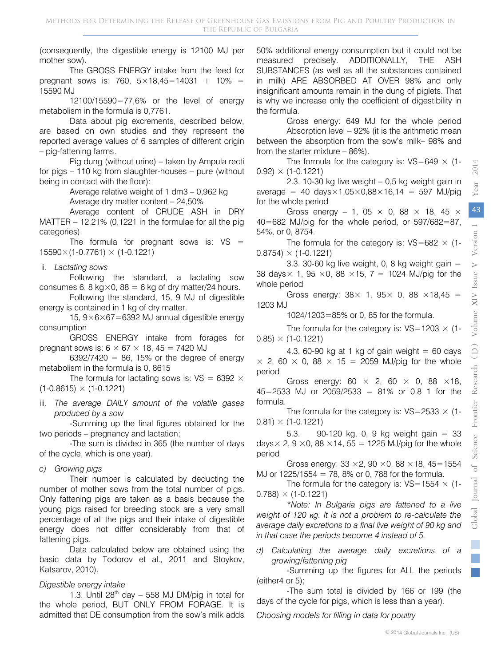(consequently, the digestible energy is 12100 MJ per mother sow).

The GROSS ENERGY intake from the feed for pregnant sows is: 760,  $5 \times 18,45 = 14031 + 10\% =$ 15590 MJ

12100/15590=77,6% or the level of energy metabolism in the formula is 0,7761.

Data about pig excrements, described below, are based on own studies and they represent the reported average values of 6 samples of different origin – pig-fattening farms.

Pig dung (without urine) – taken by Ampula recti for pigs – 110 kg from slaughter-houses – pure (without being in contact with the floor):

> Average relative weight of 1 dm3 – 0,962 kg Average dry matter content – 24,50%

Average content of CRUDE ASH in DRY MATTER – 12,21% (0,1221 in the formulae for all the pig categories).

The formula for pregnant sows is:  $VS =$  $15590\times(1-0.7761)\times(1-0.1221)$ 

### ii. *Lactating sows*

Following the standard, a lactating sow consumes 6, 8 kg $\times$ 0, 88 = 6 kg of dry matter/24 hours.

Following the standard, 15, 9 MJ of digestible energy is contained in 1 kg of dry matter.

15,  $9\times6\times67=6392$  MJ annual digestible energy consumption

GROSS ENERGY intake from forages for pregnant sows is:  $6 \times 67 \times 18$ ,  $45 = 7420$  MJ

 $6392/7420 = 86$ , 15% or the degree of energy metabolism in the formula is 0, 8615

The formula for lactating sows is:  $VS = 6392 \times$  $(1-0.8615) \times (1-0.1221)$ 

iii. *The average DAILY amount of the volatile gases produced by a sow*

-Summing up the final figures obtained for the two periods – pregnancy and lactation;

-The sum is divided in 365 (the number of days of the cycle, which is one year).

*c) Growing pigs*

Their number is calculated by deducting the number of mother sows from the total number of pigs. Only fattening pigs are taken as a basis because the young pigs raised for breeding stock are a very small percentage of all the pigs and their intake of digestible energy does not differ considerably from that of fattening pigs.

Data calculated below are obtained using the basic data by Todorov et al., 2011 and Stoykov, Katsarov, 2010).

### *Digestible energy intake*

1.3. Until 28<sup>th</sup> day  $-$  558 MJ DM/pig in total for the whole period, BUT ONLY FROM FORAGE. It is admitted that DE consumption from the sow's milk adds

50% additional energy consumption but it could not be measured precisely. ADDITIONALLY, THE ASH SUBSTANCES (as well as all the substances contained in milk) ARE ABSORBED AT OVER 98% and only insignificant amounts remain in the dung of piglets. That is why we increase only the coefficient of digestibility in the formula.

Gross energy: 649 MJ for the whole period

Absorption level – 92% (it is the arithmetic mean between the absorption from the sow's milk– 98% and from the starter mixture – 86%).

The formula for the category is:  $VS = 649 \times (1-\frac{1}{2})$  $0.92) \times (1 - 0.1221)$ 

2.3. 10-30 kg live weight – 0,5 kg weight gain in average = 40 days $\times$ 1,05 $\times$ 0,88 $\times$ 16,14 = 597 MJ/pig for the whole period

Gross energy – 1, 05  $\times$  0, 88  $\times$  18, 45  $\times$ 40=682 MJ/pig for the whole period, or 597/682=87, 54%, or 0, 8754.

The formula for the category is:  $VS=682 \times (1-\frac{1}{2})$  $0.8754 \times (1 - 0.1221)$ 

3.3. 30-60 kg live weight, 0, 8 kg weight gain  $=$ 38 days  $\times$  1, 95  $\times$  0, 88  $\times$  15, 7 = 1024 MJ/pig for the whole period

Gross energy:  $38 \times 1$ ,  $95 \times 0$ ,  $88 \times 18$ ,  $45 =$ 1203 MJ

1024/1203=85% or 0, 85 for the formula.

The formula for the category is:  $VS=1203 \times (1-1203)$  $0.85) \times (1 - 0.1221)$ 

4.3. 60-90 kg at 1 kg of gain weight = 60 days  $\times$  2, 60  $\times$  0, 88  $\times$  15 = 2059 MJ/pig for the whole period

Gross energy: 60  $\times$  2, 60  $\times$  0, 88  $\times$ 18, 45=2533 MJ or 2059/2533 = 81% or 0,8 1 for the formula.

The formula for the category is:  $VS = 2533 \times (1 0.81) \times (1 - 0.1221)$ 

5.3. 90-120 kg, 0, 9 kg weight gain = 33 days $\times$  2, 9  $\times$ 0, 88  $\times$ 14, 55 = 1225 MJ/pig for the whole period

Gross energy:  $33 \times 2$ ,  $90 \times 0$ ,  $88 \times 18$ ,  $45 = 1554$ MJ or 1225/1554 = 78, 8% or 0, 788 for the formula.

The formula for the category is:  $VS=1554 \times (1 0.788 \times (1 - 0.1221)$ 

*\*Note: In Bulgaria pigs are fattened to a live weight of 120 кg. It is not a problem to re-calculate the average daily excretions to a final live weight of 90 kg and in that case the periods become 4 instead of 5.*

*d) Calculating the average daily excretions of a growing/fattening pig* 

-Summing up the figures for ALL the periods (either4 or 5);

-The sum total is divided by 166 or 199 (the days of the cycle for pigs, which is less than a year).

*Choosing models for filling in data for poultry*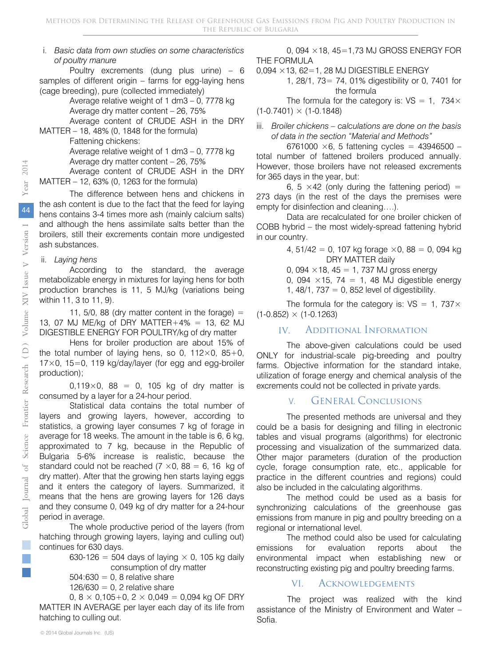### i. *Basic data from own studies on some characteristics of poultry manure*

Poultry excrements (dung plus urine) – 6 samples of different origin – farms for egg-laying hens (cage breeding), pure (collected immediately)

Average relative weight of 1 dm3 – 0, 7778 kg

Average dry matter content – 26, 75%

Average content of CRUDE ASH in the DRY

MATTER – 18, 48% (0, 1848 for the formula)

Fattening chickens:

Average relative weight of 1 dm3 – 0, 7778 kg

Average dry matter content – 26, 75%

Average content of CRUDE ASH in the DRY MATTER – 12, 63% (0, 1263 for the formula)

The difference between hens and chickens in the ash content is due to the fact that the feed for laying hens contains 3-4 times more ash (mainly calcium salts) and although the hens assimilate salts better than the broilers, still their excrements contain more undigested ash substances.

### ii. *Laying hens*

According to the standard, the average metabolizable energy in mixtures for laying hens for both production branches is 11, 5 MJ/kg (variations being within 11, 3 to 11, 9).

11, 5/0, 88 (dry matter content in the forage)  $=$ 13, 07 MJ ME/kg of DRY MATTER+4% = 13, 62 MJ DIGESTIBLE ENERGY FOR POULTRY/kg of dry matter

Hens for broiler production are about 15% of the total number of laving hens, so 0, 112 $\times$ 0, 85+0,  $17\times$ 0, 15=0, 119 kg/day/layer (for egg and egg-broiler production);

0,119 $\times$ 0, 88 = 0, 105 kg of dry matter is consumed by a layer for a 24-hour period.

Statistical data contains the total number of layers and growing layers, however, according to statistics, a growing layer consumes 7 kg of forage in average for 18 weeks. The amount in the table is 6, 6 kg, approximated to 7 kg, because in the Republic of Bulgaria 5-6% increase is realistic, because the standard could not be reached (7  $\times$ 0, 88 = 6, 16 kg of dry matter). After that the growing hen starts laying eggs and it enters the category of layers. Summarized, it means that the hens are growing layers for 126 days and they consume 0, 049 kg of dry matter for a 24-hour period in average.

The whole productive period of the layers (from hatching through growing layers, laying and culling out) continues for 630 days.

> 630-126 = 504 days of laying  $\times$  0, 105 kg daily consumption of dry matter

 $504:630 = 0$ , 8 relative share

 $126/630 = 0$ , 2 relative share

0,  $8 \times 0,105+0, 2 \times 0,049 = 0,094$  kg OF DRY MATTER IN AVERAGE per layer each day of its life from hatching to culling out.

0, 094 ×18, 45=1,73 MJ GROSS ENERGY FOR THE FORMULA

 $0,094 \times 13,62=1,28$  MJ DIGESTIBLE ENERGY

1, 28/1, 73= 74, 01% digestibility or 0, 7401 for the formula

The formula for the category is:  $VS = 1$ , 734 $\times$  $(1-0.7401) \times (1-0.1848)$ 

iii. *Broiler chickens – calculations are done on the basis of data in the section "Material and Methods"*

6761000  $\times$ 6, 5 fattening cycles = 43946500 – total number of fattened broilers produced annually. However, those broilers have not released excrements for 365 days in the year, but:

6, 5  $\times$  42 (only during the fattening period) = 273 days (in the rest of the days the premises were empty for disinfection and cleaning….).

Data are recalculated for one broiler chicken of COBB hybrid – the most widely-spread fattening hybrid in our country.

> 4,  $51/42 = 0$ , 107 kg forage  $\times$ 0, 88 = 0, 094 kg DRY MATTER daily

0, 094  $\times$  18, 45 = 1, 737 MJ gross energy

0, 094  $\times$ 15, 74 = 1, 48 MJ digestible energy 1,  $48/1$ ,  $737 = 0$ ,  $852$  level of digestibility.

The formula for the category is:  $VS = 1,737 \times$  $(1-0.852) \times (1-0.1263)$ 

### IV. Additional Information

The above-given calculations could be used ONLY for industrial-scale pig-breeding and poultry farms. Objective information for the standard intake, utilization of forage energy and chemical analysis of the excrements could not be collected in private yards.

### V. GENERAL Conclusions

The presented methods are universal and they could be a basis for designing and filling in electronic tables and visual programs (algorithms) for electronic processing and visualization of the summarized data. Other major parameters (duration of the production cycle, forage consumption rate, etc., applicable for practice in the different countries and regions) could also be included in the calculating algorithms.

The method could be used as a basis for synchronizing calculations of the greenhouse gas emissions from manure in pig and poultry breeding on a regional or international level.

The method could also be used for calculating emissions for evaluation reports about the environmental impact when establishing new or reconstructing existing pig and poultry breeding farms.

### VI. Acknowledgements

The project was realized with the kind assistance of the Ministry of Environment and Water – Sofia.

p.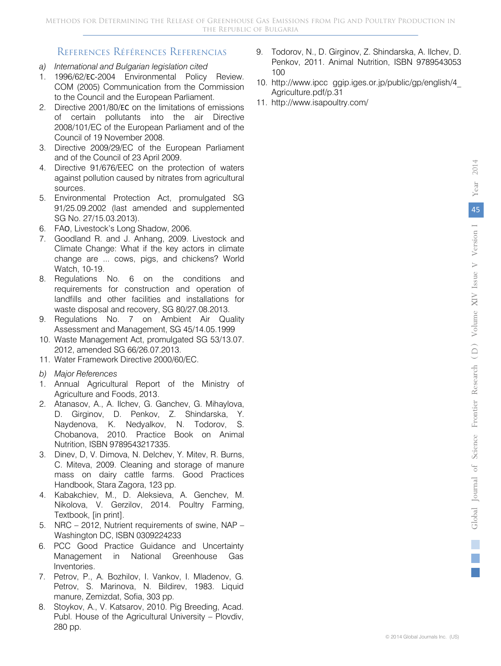### References Références Referencias

- *a) International and Bulgarian legislation cited*
- 1. 1996/62/ЕС-2004 Environmental Policy Review. COM (2005) Communication from the Commission to the Council and the European Parliament.
- 2. Directive 2001/80/ЕС on the limitations of emissions of certain pollutants into the air Directive 2008/101/EC of the European Parliament and of the Council of 19 November 2008.
- 3. Directive 2009/29/EC of the European Parliament and of the Council of 23 April 2009.
- 4. Directive 91/676/EEC on the protection of waters against pollution caused by nitrates from agricultural sources.
- 5. Environmental Protection Act, promulgated SG 91/25.09.2002 (last amended and supplemented SG No. 27/15.03.2013).
- 6. FAО, Livestock's Long Shadow, 2006.
- 7. Goodland R. and J. Anhang, 2009. Livestock and Climate Change: What if the key actors in climate change are ... cows, pigs, and chickens? World Watch, 10-19.
- 8. Regulations No. 6 on the conditions and requirements for construction and operation of landfills and other facilities and installations for waste disposal and recovery, SG 80/27.08.2013.
- 9. Regulations No. 7 on Ambient Air Quality Assessment and Management, SG 45/14.05.1999
- 10. Waste Management Act, promulgated SG 53/13.07. 2012, amended SG 66/26.07.2013.
- 11. Water Framework Directive 2000/60/EC.
- *b) Major References*
- 1. Annual Agricultural Report of the Ministry of Agriculture and Foods, 2013.
- 2. Atanasov, A., A. Ilchev, G. Ganchev, G. Mihaylova, D. Girginov, D. Penkov, Z. Shindarska, Y. Naydenova, K. Nedyalkov, N. Todorov, S. Chobanova, 2010. Practice Book on Animal Nutrition, ISBN 9789543217335.
- 3. Dinev, D, V. Dimova, N. Delchev, Y. Mitev, R. Burns, C. Miteva, 2009. Cleaning and storage of manure mass on dairy cattle farms. Good Practices Handbook, Stara Zagora, 123 pp.
- 4. Kabakchiev, M., D. Aleksieva, A. Genchev, M. Nikolova, V. Gerzilov, 2014. Poultry Farming, Textbook, [in print].
- 5. NRC 2012, Nutrient requirements of swine, NAP Washington DC, ISBN 0309224233
- 6. PCC Good Practice Guidance and Uncertainty Management in National Greenhouse Gas Inventories.
- 7. Petrov, P., A. Bozhilov, I. Vankov, I. Mladenov, G. Petrov, S. Marinova, N. Bildirev, 1983. Liquid manure, Zemizdat, Sofia, 303 pp.
- 8. Stoykov, A., V. Katsarov, 2010. Pig Breeding, Acad. Publ. House of the Agricultural University – Plovdiv, 280 pp.
- 9. Todorov, N., D. Girginov, Z. Shindarska, A. Ilchev, D. Penkov, 2011. Animal Nutrition, ISBN 9789543053 100
- 10. http://www.ipcc ggip.iges.or.jp/public/gp/english/4\_ Agriculture.pdf/p.31
- 11. http://www.isapoultry.com/